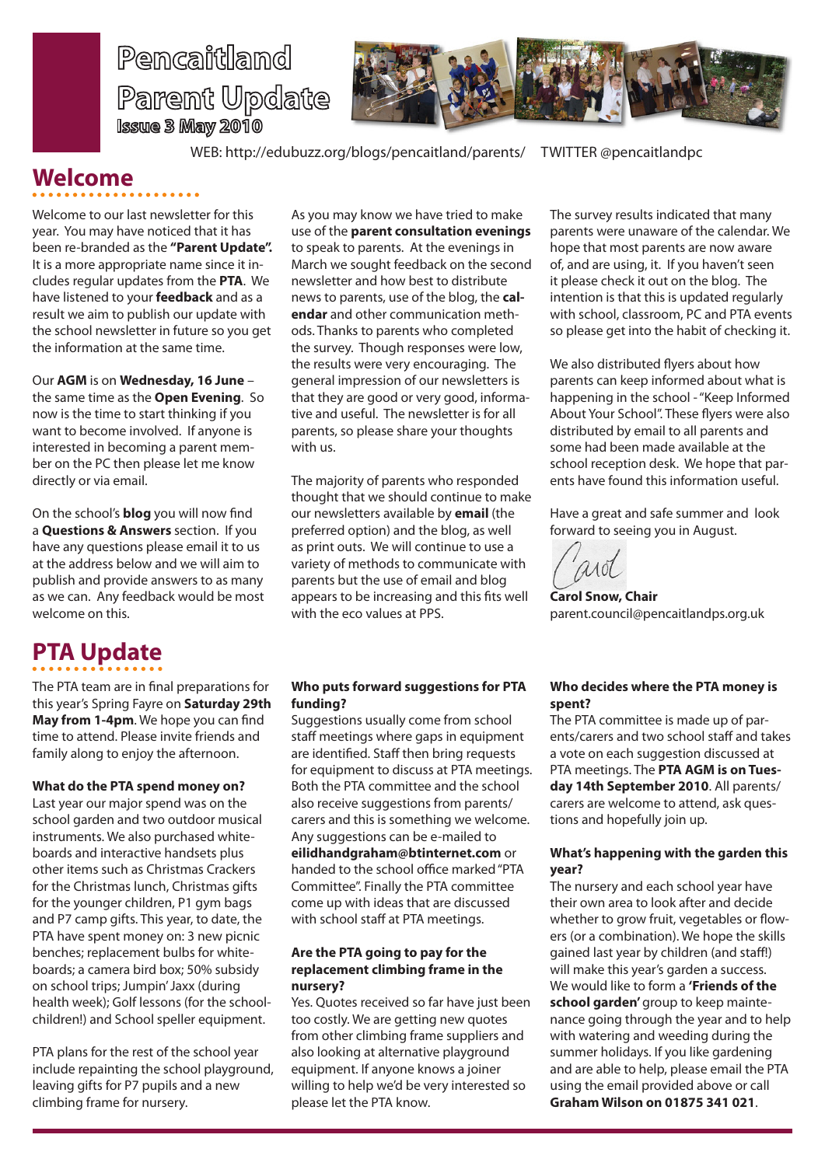



WEB: http://edubuzz.org/blogs/pencaitland/parents/ TWITTER @pencaitlandpc

### **Welcome**

Welcome to our last newsletter for this year. You may have noticed that it has been re-branded as the **"Parent Update".** It is a more appropriate name since it includes regular updates from the **PTA**. We have listened to your **feedback** and as a result we aim to publish our update with the school newsletter in future so you get the information at the same time.

 $\frac{1}{2}$ 

Our **AGM** is on **Wednesday, 16 June** – the same time as the **Open Evening**. So now is the time to start thinking if you want to become involved. If anyone is interested in becoming a parent member on the PC then please let me know directly or via email.

On the school's **blog** you will now find a **Questions & Answers** section. If you have any questions please email it to us at the address below and we will aim to publish and provide answers to as many as we can. Any feedback would be most welcome on this.

# **PTA Update**

The PTA team are in final preparations for this year's Spring Fayre on **Saturday 29th May from 1-4pm**. We hope you can find time to attend. Please invite friends and family along to enjoy the afternoon.

#### **What do the PTA spend money on?**

Last year our major spend was on the school garden and two outdoor musical instruments. We also purchased whiteboards and interactive handsets plus other items such as Christmas Crackers for the Christmas lunch, Christmas gifts for the younger children, P1 gym bags and P7 camp gifts. This year, to date, the PTA have spent money on: 3 new picnic benches; replacement bulbs for whiteboards; a camera bird box; 50% subsidy on school trips; Jumpin' Jaxx (during health week); Golf lessons (for the schoolchildren!) and School speller equipment.

PTA plans for the rest of the school year include repainting the school playground, leaving gifts for P7 pupils and a new climbing frame for nursery.

As you may know we have tried to make use of the **parent consultation evenings** to speak to parents. At the evenings in March we sought feedback on the second newsletter and how best to distribute news to parents, use of the blog, the **calendar** and other communication methods. Thanks to parents who completed the survey. Though responses were low, the results were very encouraging. The general impression of our newsletters is that they are good or very good, informative and useful. The newsletter is for all parents, so please share your thoughts with us.

The majority of parents who responded thought that we should continue to make our newsletters available by **email** (the preferred option) and the blog, as well as print outs. We will continue to use a variety of methods to communicate with parents but the use of email and blog appears to be increasing and this fits well with the eco values at PPS.

#### **Who puts forward suggestions for PTA funding?**

Suggestions usually come from school staff meetings where gaps in equipment are identified. Staff then bring requests for equipment to discuss at PTA meetings. Both the PTA committee and the school also receive suggestions from parents/ carers and this is something we welcome. Any suggestions can be e-mailed to **eilidhandgraham@btinternet.com** or handed to the school office marked "PTA Committee". Finally the PTA committee come up with ideas that are discussed with school staff at PTA meetings.

#### **Are the PTA going to pay for the replacement climbing frame in the nursery?**

Yes. Quotes received so far have just been too costly. We are getting new quotes from other climbing frame suppliers and also looking at alternative playground equipment. If anyone knows a joiner willing to help we'd be very interested so please let the PTA know.

The survey results indicated that many parents were unaware of the calendar. We hope that most parents are now aware of, and are using, it. If you haven't seen it please check it out on the blog. The intention is that this is updated regularly with school, classroom, PC and PTA events so please get into the habit of checking it.

We also distributed flyers about how parents can keep informed about what is happening in the school - "Keep Informed About Your School". These flyers were also distributed by email to all parents and some had been made available at the school reception desk. We hope that parents have found this information useful.

Have a great and safe summer and look forward to seeing you in August.

**Carol Snow, Chair** parent.council@pencaitlandps.org.uk

#### **Who decides where the PTA money is spent?**

The PTA committee is made up of parents/carers and two school staff and takes a vote on each suggestion discussed at PTA meetings. The **PTA AGM is on Tuesday 14th September 2010**. All parents/ carers are welcome to attend, ask questions and hopefully join up.

#### **What's happening with the garden this year?**

The nursery and each school year have their own area to look after and decide whether to grow fruit, vegetables or flowers (or a combination). We hope the skills gained last year by children (and staff!) will make this year's garden a success. We would like to form a **'Friends of the school garden'** group to keep maintenance going through the year and to help with watering and weeding during the summer holidays. If you like gardening and are able to help, please email the PTA using the email provided above or call **Graham Wilson on 01875 341 021**.